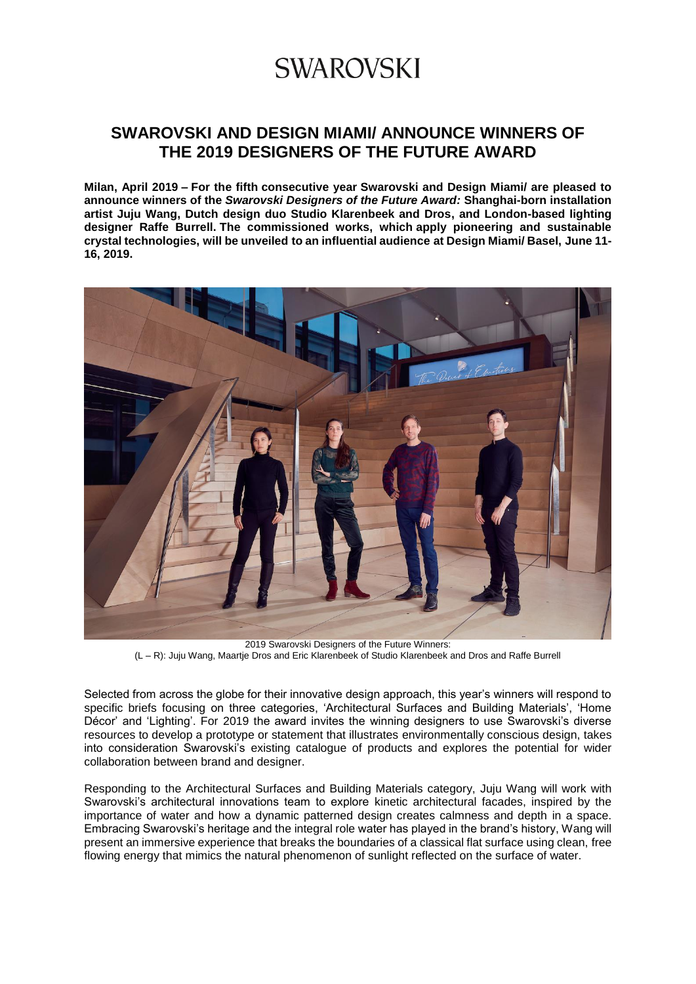### **SWAROVSKI AND DESIGN MIAMI/ ANNOUNCE WINNERS OF THE 2019 DESIGNERS OF THE FUTURE AWARD**

**Milan, April 2019 – For the fifth consecutive year Swarovski and Design Miami/ are pleased to announce winners of the** *Swarovski Designers of the Future Award:* **Shanghai-born installation artist Juju Wang, Dutch design duo Studio Klarenbeek and Dros, and London-based lighting designer Raffe Burrell. The commissioned works, which apply pioneering and sustainable crystal technologies, will be unveiled to an influential audience at Design Miami/ Basel, June 11- 16, 2019.**



2019 Swarovski Designers of the Future Winners: (L – R): Juju Wang, Maartje Dros and Eric Klarenbeek of Studio Klarenbeek and Dros and Raffe Burrell

Selected from across the globe for their innovative design approach, this year's winners will respond to specific briefs focusing on three categories, 'Architectural Surfaces and Building Materials', 'Home Décor' and 'Lighting'. For 2019 the award invites the winning designers to use Swarovski's diverse resources to develop a prototype or statement that illustrates environmentally conscious design, takes into consideration Swarovski's existing catalogue of products and explores the potential for wider collaboration between brand and designer.

Responding to the Architectural Surfaces and Building Materials category, Juju Wang will work with Swarovski's architectural innovations team to explore kinetic architectural facades, inspired by the importance of water and how a dynamic patterned design creates calmness and depth in a space. Embracing Swarovski's heritage and the integral role water has played in the brand's history, Wang will present an immersive experience that breaks the boundaries of a classical flat surface using clean, free flowing energy that mimics the natural phenomenon of sunlight reflected on the surface of water.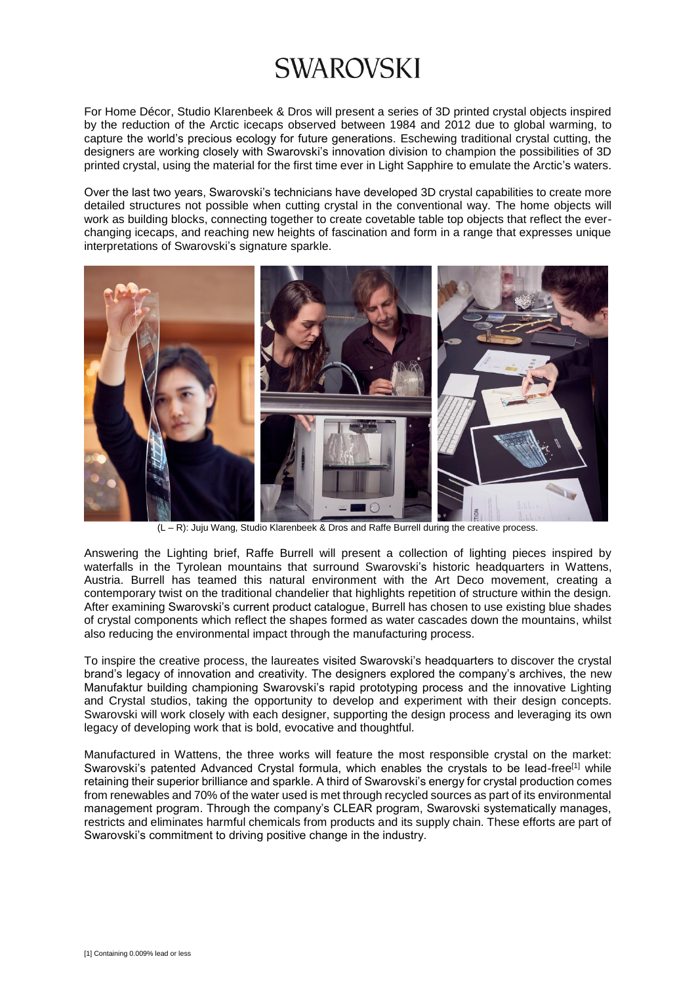For Home Décor, Studio Klarenbeek & Dros will present a series of 3D printed crystal objects inspired by the reduction of the Arctic icecaps observed between 1984 and 2012 due to global warming, to capture the world's precious ecology for future generations. Eschewing traditional crystal cutting, the designers are working closely with Swarovski's innovation division to champion the possibilities of 3D printed crystal, using the material for the first time ever in Light Sapphire to emulate the Arctic's waters.

Over the last two years, Swarovski's technicians have developed 3D crystal capabilities to create more detailed structures not possible when cutting crystal in the conventional way. The home objects will work as building blocks, connecting together to create covetable table top objects that reflect the everchanging icecaps, and reaching new heights of fascination and form in a range that expresses unique interpretations of Swarovski's signature sparkle.



**(N)**<br>(L – R): Juju Wang, Studio Klarenbeek & Dros and Raffe Burrell during the creative process.

Answering the Lighting brief, Raffe Burrell will present a collection of lighting pieces inspired by waterfalls in the Tyrolean mountains that surround Swarovski's historic headquarters in Wattens, Austria. Burrell has teamed this natural environment with the Art Deco movement, creating a contemporary twist on the traditional chandelier that highlights repetition of structure within the design. After examining Swarovski's current product catalogue, Burrell has chosen to use existing blue shades of crystal components which reflect the shapes formed as water cascades down the mountains, whilst also reducing the environmental impact through the manufacturing process.

To inspire the creative process, the laureates visited Swarovski's headquarters to discover the crystal brand's legacy of innovation and creativity. The designers explored the company's archives, the new Manufaktur building championing Swarovski's rapid prototyping process and the innovative Lighting and Crystal studios, taking the opportunity to develop and experiment with their design concepts. Swarovski will work closely with each designer, supporting the design process and leveraging its own legacy of developing work that is bold, evocative and thoughtful.

Manufactured in Wattens, the three works will feature the most responsible crystal on the market: Swarovski's patented Advanced Crystal formula, which enables the crystals to be lead-free<sup>[1]</sup> while retaining their superior brilliance and sparkle. A third of Swarovski's energy for crystal production comes from renewables and 70% of the water used is met through recycled sources as part of its environmental management program. Through the company's CLEAR program, Swarovski systematically manages, restricts and eliminates harmful chemicals from products and its supply chain. These efforts are part of Swarovski's commitment to driving positive change in the industry.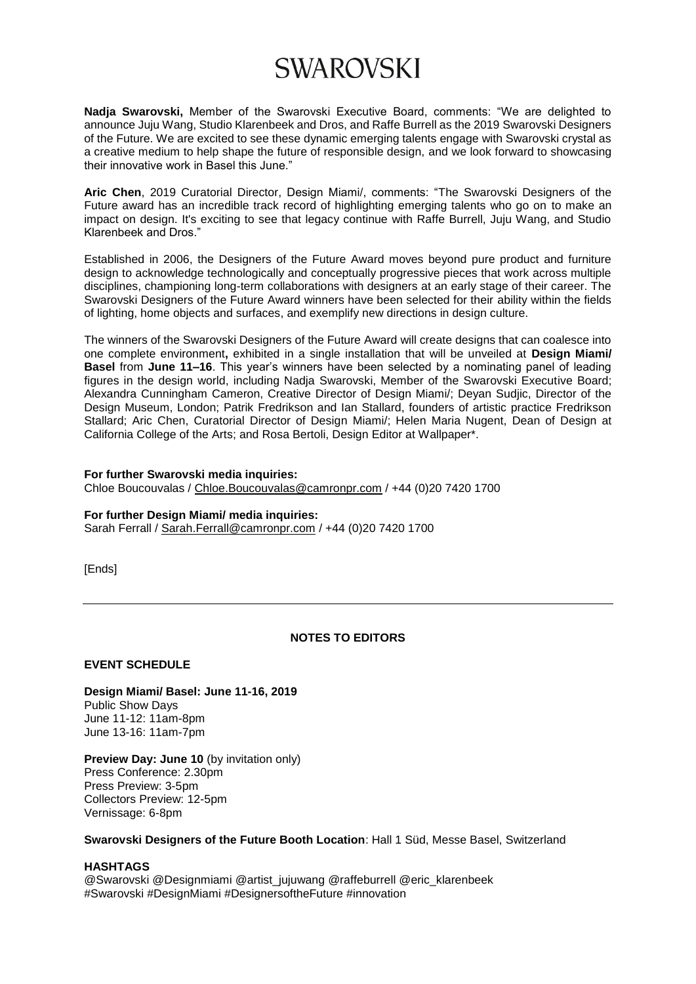**Nadja Swarovski,** Member of the Swarovski Executive Board, comments: "We are delighted to announce Juju Wang, Studio Klarenbeek and Dros, and Raffe Burrell as the 2019 Swarovski Designers of the Future. We are excited to see these dynamic emerging talents engage with Swarovski crystal as a creative medium to help shape the future of responsible design, and we look forward to showcasing their innovative work in Basel this June."

**Aric Chen**, 2019 Curatorial Director, Design Miami/, comments: "The Swarovski Designers of the Future award has an incredible track record of highlighting emerging talents who go on to make an impact on design. It's exciting to see that legacy continue with Raffe Burrell, Juju Wang, and Studio Klarenbeek and Dros."

Established in 2006, the Designers of the Future Award moves beyond pure product and furniture design to acknowledge technologically and conceptually progressive pieces that work across multiple disciplines, championing long-term collaborations with designers at an early stage of their career. The Swarovski Designers of the Future Award winners have been selected for their ability within the fields of lighting, home objects and surfaces, and exemplify new directions in design culture.

The winners of the Swarovski Designers of the Future Award will create designs that can coalesce into one complete environment**,** exhibited in a single installation that will be unveiled at **Design Miami/ Basel** from **June 11–16**. This year's winners have been selected by a nominating panel of leading figures in the design world, including Nadja Swarovski, Member of the Swarovski Executive Board; Alexandra Cunningham Cameron, Creative Director of Design Miami/; Deyan Sudjic, Director of the Design Museum, London; Patrik Fredrikson and Ian Stallard, founders of artistic practice Fredrikson Stallard; Aric Chen, Curatorial Director of Design Miami/; Helen Maria Nugent, Dean of Design at California College of the Arts; and Rosa Bertoli, Design Editor at Wallpaper\*.

#### **For further Swarovski media inquiries:**

Chloe Boucouvalas / [Chloe.Boucouvalas@camronpr.com](mailto:Chloe.Boucouvalas@camronpr.com) / +44 (0)20 7420 1700

#### **For further Design Miami/ media inquiries:**

Sarah Ferrall / [Sarah.Ferrall@camronpr.com](mailto:Sarah.Ferrall@camronpr.com) / +44 (0)20 7420 1700

[Ends]

### **NOTES TO EDITORS**

### **EVENT SCHEDULE**

**Design Miami/ Basel: June 11-16, 2019** Public Show Days June 11-12: 11am-8pm June 13-16: 11am-7pm

**Preview Day: June 10** (by invitation only) Press Conference: 2.30pm Press Preview: 3-5pm Collectors Preview: 12-5pm Vernissage: 6-8pm

**Swarovski Designers of the Future Booth Location**: Hall 1 Süd, Messe Basel, Switzerland

#### **HASHTAGS**

@Swarovski @Designmiami @artist\_jujuwang @raffeburrell @eric\_klarenbeek #Swarovski #DesignMiami #DesignersoftheFuture #innovation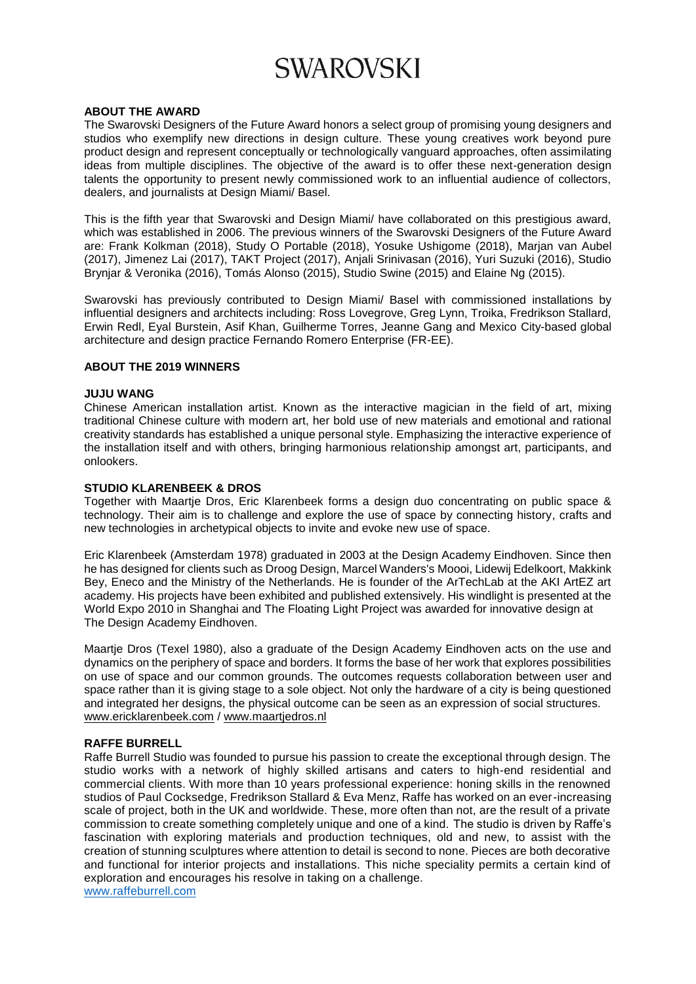#### **ABOUT THE AWARD**

The Swarovski Designers of the Future Award honors a select group of promising young designers and studios who exemplify new directions in design culture. These young creatives work beyond pure product design and represent conceptually or technologically vanguard approaches, often assimilating ideas from multiple disciplines. The objective of the award is to offer these next-generation design talents the opportunity to present newly commissioned work to an influential audience of collectors, dealers, and journalists at Design Miami/ Basel.

This is the fifth year that Swarovski and Design Miami/ have collaborated on this prestigious award, which was established in 2006. The previous winners of the Swarovski Designers of the Future Award are: Frank Kolkman (2018), Study O Portable (2018), Yosuke Ushigome (2018), Marjan van Aubel (2017), Jimenez Lai (2017), TAKT Project (2017), Anjali Srinivasan (2016), Yuri Suzuki (2016), Studio Brynjar & Veronika (2016), Tomás Alonso (2015), Studio Swine (2015) and Elaine Ng (2015).

Swarovski has previously contributed to Design Miami/ Basel with commissioned installations by influential designers and architects including: Ross Lovegrove, Greg Lynn, Troika, Fredrikson Stallard, Erwin Redl, Eyal Burstein, Asif Khan, Guilherme Torres, Jeanne Gang and Mexico City-based global architecture and design practice Fernando Romero Enterprise (FR-EE).

#### **ABOUT THE 2019 WINNERS**

#### **JUJU WANG**

Chinese American installation artist. Known as the interactive magician in the field of art, mixing traditional Chinese culture with modern art, her bold use of new materials and emotional and rational creativity standards has established a unique personal style. Emphasizing the interactive experience of the installation itself and with others, bringing harmonious relationship amongst art, participants, and onlookers.

#### **STUDIO KLARENBEEK & DROS**

Together with Maartje Dros, Eric Klarenbeek forms a design duo concentrating on public space & technology. Their aim is to challenge and explore the use of space by connecting history, crafts and new technologies in archetypical objects to invite and evoke new use of space.

Eric Klarenbeek (Amsterdam 1978) graduated in 2003 at the Design Academy Eindhoven. Since then he has designed for clients such as Droog Design, Marcel Wanders's Moooi, Lidewij Edelkoort, Makkink Bey, Eneco and the Ministry of the Netherlands. He is founder of the ArTechLab at the AKI ArtEZ art academy. His projects have been exhibited and published extensively. His windlight is presented at the World Expo 2010 in Shanghai and The Floating Light Project was awarded for innovative design at The Design Academy Eindhoven.

Maartje Dros (Texel 1980), also a graduate of the Design Academy Eindhoven acts on the use and dynamics on the periphery of space and borders. It forms the base of her work that explores possibilities on use of space and our common grounds. The outcomes requests collaboration between user and space rather than it is giving stage to a sole object. Not only the hardware of a city is being questioned and integrated her designs, the physical outcome can be seen as an expression of social structures. [www.ericklarenbeek.com](http://www.ericklarenbeek.com/) / [www.maartjedros.nl](http://www.maartjedros.nl/)

### **RAFFE BURRELL**

Raffe Burrell Studio was founded to pursue his passion to create the exceptional through design. The studio works with a network of highly skilled artisans and caters to high-end residential and commercial clients. With more than 10 years professional experience: honing skills in the renowned studios of Paul Cocksedge, Fredrikson Stallard & Eva Menz, Raffe has worked on an ever-increasing scale of project, both in the UK and worldwide. These, more often than not, are the result of a private commission to create something completely unique and one of a kind. The studio is driven by Raffe's fascination with exploring materials and production techniques, old and new, to assist with the creation of stunning sculptures where attention to detail is second to none. Pieces are both decorative and functional for interior projects and installations. This niche speciality permits a certain kind of exploration and encourages his resolve in taking on a challenge.

[www.raffeburrell.com](http://www.raffeburrell.com/)